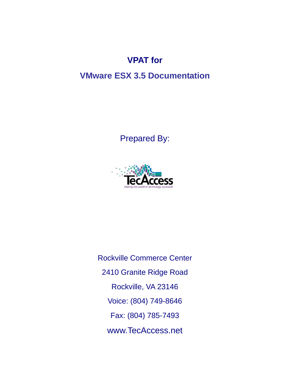# **VPAT for**

## **VMware ESX 3.5 Documentation**

Prepared By:



Rockville Commerce Center 2410 Granite Ridge Road Rockville, VA 23146 Voice: (804) 749-8646 Fax: (804) 785-7493 www.TecAccess.net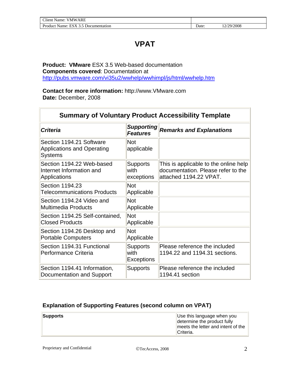## **VPAT**

**Product: VMware** ESX 3.5 Web-based documentation **Components covered**: Documentation at <http://pubs.vmware.com/vi35u2/wwhelp/wwhimpl/js/html/wwhelp.htm>

**Contact for more information:** http://www.VMware.com **Date:** December, 2008

| <b>Summary of Voluntary Product Accessibility Template</b>                      |                                              |                                                                                                       |  |
|---------------------------------------------------------------------------------|----------------------------------------------|-------------------------------------------------------------------------------------------------------|--|
| <b>Criteria</b>                                                                 | <b>Supporting</b><br><b>Features</b>         | <b>Remarks and Explanations</b>                                                                       |  |
| Section 1194.21 Software<br><b>Applications and Operating</b><br><b>Systems</b> | <b>Not</b><br>applicable                     |                                                                                                       |  |
| Section 1194.22 Web-based<br>Internet Information and<br>Applications           | <b>Supports</b><br>with<br>exceptions        | This is applicable to the online help<br>documentation. Please refer to the<br>attached 1194.22 VPAT. |  |
| Section 1194.23<br><b>Telecommunications Products</b>                           | <b>Not</b><br>Applicable                     |                                                                                                       |  |
| Section 1194.24 Video and<br><b>Multimedia Products</b>                         | <b>Not</b><br>Applicable                     |                                                                                                       |  |
| Section 1194.25 Self-contained,<br><b>Closed Products</b>                       | <b>Not</b><br>Applicable                     |                                                                                                       |  |
| Section 1194.26 Desktop and<br><b>Portable Computers</b>                        | <b>Not</b><br>Applicable                     |                                                                                                       |  |
| Section 1194.31 Functional<br>Performance Criteria                              | <b>Supports</b><br>with<br><b>Exceptions</b> | Please reference the included<br>1194.22 and 1194.31 sections.                                        |  |
| Section 1194.41 Information,<br>Documentation and Support                       | <b>Supports</b>                              | Please reference the included<br>1194.41 section                                                      |  |

#### **Explanation of Supporting Features (second column on VPAT)**

| <b>Supports</b> | Use this language when you<br>determine the product fully |
|-----------------|-----------------------------------------------------------|
|                 | meets the letter and intent of the<br>'Criteria.          |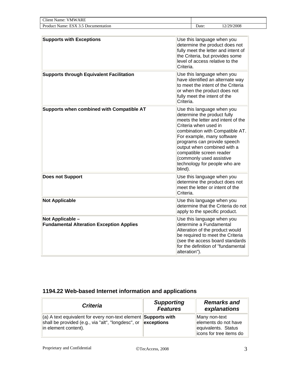| $\sim$<br>ARE<br>/ MW<br>'Itent<br>√ame                                                                                |      |              |
|------------------------------------------------------------------------------------------------------------------------|------|--------------|
| $\overline{\phantom{a}}$<br>$\mathbf{p}_{r}$<br>Name:<br>nentation<br>.cur<br>чиет<br>D <sub>00</sub><br>$\Delta$<br>. | Jate | /2008<br>70. |

| <b>Supports with Exceptions</b>                                     | Use this language when you<br>determine the product does not<br>fully meet the letter and intent of<br>the Criteria, but provides some<br>level of access relative to the<br>Criteria.                                                                                                                                                                      |
|---------------------------------------------------------------------|-------------------------------------------------------------------------------------------------------------------------------------------------------------------------------------------------------------------------------------------------------------------------------------------------------------------------------------------------------------|
| <b>Supports through Equivalent Facilitation</b>                     | Use this language when you<br>have identified an alternate way<br>to meet the intent of the Criteria<br>or when the product does not<br>fully meet the intent of the<br>Criteria.                                                                                                                                                                           |
| Supports when combined with Compatible AT                           | Use this language when you<br>determine the product fully<br>meets the letter and intent of the<br>Criteria when used in<br>combination with Compatible AT.<br>For example, many software<br>programs can provide speech<br>output when combined with a<br>compatible screen reader<br>(commonly used assistive<br>technology for people who are<br>blind). |
| <b>Does not Support</b>                                             | Use this language when you<br>determine the product does not<br>meet the letter or intent of the<br>Criteria.                                                                                                                                                                                                                                               |
| <b>Not Applicable</b>                                               | Use this language when you<br>determine that the Criteria do not<br>apply to the specific product.                                                                                                                                                                                                                                                          |
| Not Applicable -<br><b>Fundamental Alteration Exception Applies</b> | Use this language when you<br>determine a Fundamental<br>Alteration of the product would<br>be required to meet the Criteria<br>(see the access board standards<br>for the definition of "fundamental<br>alteration").                                                                                                                                      |

### **1194.22 Web-based Internet information and applications**

| <b>Criteria</b>                                                                                                                                                             | <b>Supporting</b><br><b>Features</b> | <b>Remarks and</b><br>explanations                                                       |
|-----------------------------------------------------------------------------------------------------------------------------------------------------------------------------|--------------------------------------|------------------------------------------------------------------------------------------|
| $\vert$ (a) A text equivalent for every non-text element Supports with<br>shall be provided (e.g., via "alt", "longdesc", or $\parallel$ exceptions<br>in element content). |                                      | Many non-text<br>elements do not have<br>equivalents. Status<br>licons for tree items do |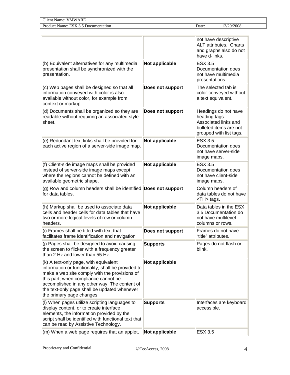| $\sim$<br>ARE<br>. .<br>V M W<br>Name<br>tieni                      |      |                                                         |
|---------------------------------------------------------------------|------|---------------------------------------------------------|
| nentation<br>u-<br>Name:<br>duct<br>Docum ،<br>$\ddot{\phantom{0}}$ | Jate | /2008<br>$^{\prime}$ $^{\prime}$ $\Omega$ $^{\prime}$ . |

|                                                                                                                                                                                                                                                                                                                    |                  | not have descriptive<br><b>ALT</b> attributes. Charts<br>and graphs also do not<br>have d-links.                   |       |
|--------------------------------------------------------------------------------------------------------------------------------------------------------------------------------------------------------------------------------------------------------------------------------------------------------------------|------------------|--------------------------------------------------------------------------------------------------------------------|-------|
| (b) Equivalent alternatives for any multimedia<br>presentation shall be synchronized with the<br>presentation.                                                                                                                                                                                                     | Not applicable   | <b>ESX 3.5</b><br>Documentation does<br>not have multimedia<br>presentations.                                      |       |
| (c) Web pages shall be designed so that all<br>information conveyed with color is also<br>available without color, for example from<br>context or markup.                                                                                                                                                          | Does not support | The selected tab is<br>color-conveyed without<br>a text equivalent.                                                |       |
| (d) Documents shall be organized so they are<br>readable without requiring an associated style<br>sheet.                                                                                                                                                                                                           | Does not support | Headings do not have<br>heading tags.<br>Associated links and<br>bulleted items are not<br>grouped with list tags. |       |
| (e) Redundant text links shall be provided for<br>each active region of a server-side image map.                                                                                                                                                                                                                   | Not applicable   | <b>ESX 3.5</b><br>Documentation does<br>not have server-side<br>image maps.                                        |       |
| (f) Client-side image maps shall be provided<br>instead of server-side image maps except<br>where the regions cannot be defined with an<br>available geometric shape.                                                                                                                                              | Not applicable   | ESX 3.5<br>Documentation does<br>not have client-side<br>image maps.                                               |       |
| (g) Row and column headers shall be identified Does not support                                                                                                                                                                                                                                                    |                  | Column headers of                                                                                                  |       |
| for data tables.                                                                                                                                                                                                                                                                                                   |                  | data tables do not have<br><th> tags.</th>                                                                         | tags. |
| (h) Markup shall be used to associate data<br>cells and header cells for data tables that have<br>two or more logical levels of row or column<br>headers.                                                                                                                                                          | Not applicable   | Data tables in the ESX<br>3.5 Documentation do<br>not have multilevel<br>columns or rows.                          |       |
| (i) Frames shall be titled with text that<br>facilitates frame identification and navigation                                                                                                                                                                                                                       | Does not support | Frames do not have<br>"title" attributes.                                                                          |       |
| (j) Pages shall be designed to avoid causing<br>the screen to flicker with a frequency greater<br>than 2 Hz and lower than 55 Hz.                                                                                                                                                                                  | <b>Supports</b>  | Pages do not flash or<br>blink.                                                                                    |       |
| (k) A text-only page, with equivalent<br>information or functionality, shall be provided to<br>make a web site comply with the provisions of<br>this part, when compliance cannot be<br>accomplished in any other way. The content of<br>the text-only page shall be updated whenever<br>the primary page changes. | Not applicable   |                                                                                                                    |       |
| (I) When pages utilize scripting languages to<br>display content, or to create interface<br>elements, the information provided by the<br>script shall be identified with functional text that<br>can be read by Assistive Technology.                                                                              | <b>Supports</b>  | Interfaces are keyboard<br>accessible.                                                                             |       |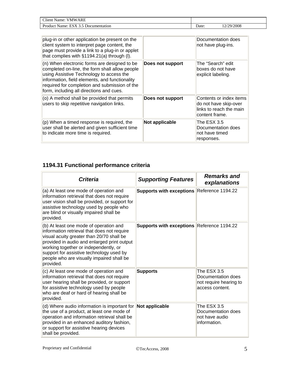| <b>~**</b><br>ARE<br>VMW<br>Name <sup>.</sup><br>'I tent |       |          |
|----------------------------------------------------------|-------|----------|
| ES<br>Product<br>Name:<br>Documentation<br>EN A          | Date: | /29/2008 |

| plug-in or other application be present on the<br>client system to interpret page content, the<br>page must provide a link to a plug-in or applet<br>that complies with §1194.21(a) through (I).                                                                                          |                  | Documentation does<br>not have plug-ins.                                                      |
|-------------------------------------------------------------------------------------------------------------------------------------------------------------------------------------------------------------------------------------------------------------------------------------------|------------------|-----------------------------------------------------------------------------------------------|
| (n) When electronic forms are designed to be<br>completed on-line, the form shall allow people<br>using Assistive Technology to access the<br>information, field elements, and functionality<br>required for completion and submission of the<br>form, including all directions and cues. | Does not support | The "Search" edit<br>boxes do not have<br>explicit labeling.                                  |
| (o) A method shall be provided that permits<br>users to skip repetitive navigation links.                                                                                                                                                                                                 | Does not support | Contents or index items<br>do not have skip-over<br>links to reach the main<br>content frame. |
| $(p)$ When a timed response is required, the<br>user shall be alerted and given sufficient time<br>to indicate more time is required.                                                                                                                                                     | Not applicable   | The ESX 3.5<br>Documentation does<br>not have timed<br>responses.                             |

### **1194.31 Functional performance criteria**

| <b>Criteria</b>                                                                                                                                                                                                                                                                                                                  | <b>Supporting Features</b>                 | <b>Remarks and</b><br>explanations                                             |
|----------------------------------------------------------------------------------------------------------------------------------------------------------------------------------------------------------------------------------------------------------------------------------------------------------------------------------|--------------------------------------------|--------------------------------------------------------------------------------|
| (a) At least one mode of operation and<br>information retrieval that does not require<br>user vision shall be provided, or support for<br>assistive technology used by people who<br>are blind or visually impaired shall be<br>provided.                                                                                        | Supports with exceptions Reference 1194.22 |                                                                                |
| (b) At least one mode of operation and<br>information retrieval that does not require<br>visual acuity greater than 20/70 shall be<br>provided in audio and enlarged print output<br>working together or independently, or<br>support for assistive technology used by<br>people who are visually impaired shall be<br>provided. | Supports with exceptions Reference 1194.22 |                                                                                |
| (c) At least one mode of operation and<br>information retrieval that does not require<br>user hearing shall be provided, or support<br>for assistive technology used by people<br>who are deaf or hard of hearing shall be<br>provided.                                                                                          | <b>Supports</b>                            | The ESX 3.5<br>Documentation does<br>not require hearing to<br>access content. |
| (d) Where audio information is important for<br>the use of a product, at least one mode of<br>operation and information retrieval shall be<br>provided in an enhanced auditory fashion,<br>or support for assistive hearing devices<br>shall be provided.                                                                        | Not applicable                             | The ESX 3.5<br>Documentation does<br>not have audio<br>information.            |